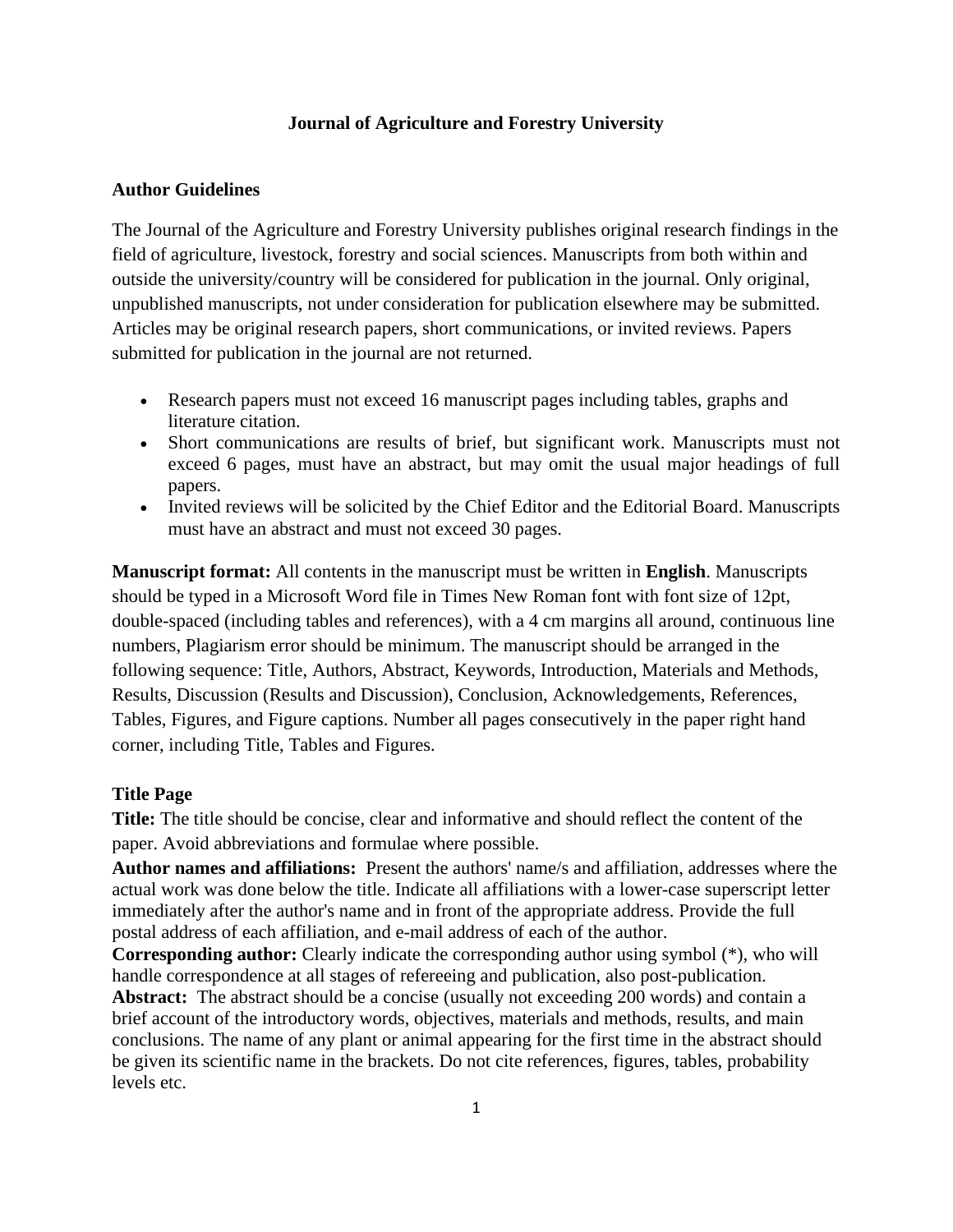#### **Journal of Agriculture and Forestry University**

## **Author Guidelines**

The Journal of the Agriculture and Forestry University publishes original research findings in the field of agriculture, livestock, forestry and social sciences. Manuscripts from both within and outside the university/country will be considered for publication in the journal. Only original, unpublished manuscripts, not under consideration for publication elsewhere may be submitted. Articles may be original research papers, short communications, or invited reviews. Papers submitted for publication in the journal are not returned.

- Research papers must not exceed 16 manuscript pages including tables, graphs and literature citation.
- Short communications are results of brief, but significant work. Manuscripts must not exceed 6 pages, must have an abstract, but may omit the usual major headings of full papers.
- Invited reviews will be solicited by the Chief Editor and the Editorial Board. Manuscripts must have an abstract and must not exceed 30 pages.

**Manuscript format:** All contents in the manuscript must be written in **English**. Manuscripts should be typed in a Microsoft Word file in Times New Roman font with font size of 12pt, double-spaced (including tables and references), with a 4 cm margins all around, continuous line numbers, Plagiarism error should be minimum. The manuscript should be arranged in the following sequence: Title, Authors, Abstract, Keywords, Introduction, Materials and Methods, Results, Discussion (Results and Discussion), Conclusion, Acknowledgements, References, Tables, Figures, and Figure captions. Number all pages consecutively in the paper right hand corner, including Title, Tables and Figures.

### **Title Page**

**Title:** The title should be concise, clear and informative and should reflect the content of the paper. Avoid abbreviations and formulae where possible.

**Author names and affiliations:** Present the authors' name/s and affiliation, addresses where the actual work was done below the title. Indicate all affiliations with a lower-case superscript letter immediately after the author's name and in front of the appropriate address. Provide the full postal address of each affiliation, and e-mail address of each of the author.

**Corresponding author:** Clearly indicate the corresponding author using symbol (\*), who will handle correspondence at all stages of refereeing and publication, also post-publication.

**Abstract:** The abstract should be a concise (usually not exceeding 200 words) and contain a brief account of the introductory words, objectives, materials and methods, results, and main conclusions. The name of any plant or animal appearing for the first time in the abstract should be given its scientific name in the brackets. Do not cite references, figures, tables, probability levels etc.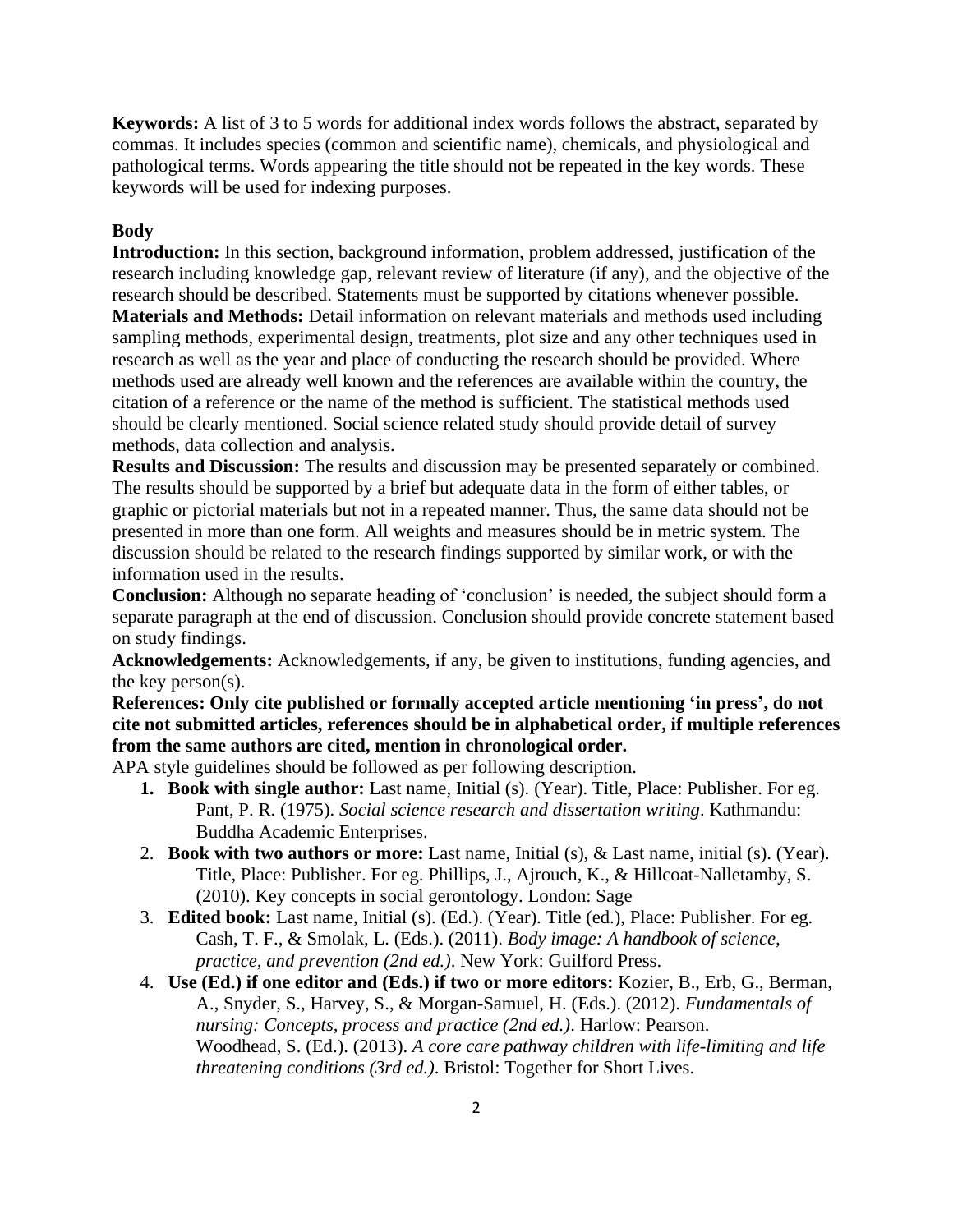**Keywords:** A list of 3 to 5 words for additional index words follows the abstract, separated by commas. It includes species (common and scientific name), chemicals, and physiological and pathological terms. Words appearing the title should not be repeated in the key words. These keywords will be used for indexing purposes.

#### **Body**

**Introduction:** In this section, background information, problem addressed, justification of the research including knowledge gap, relevant review of literature (if any), and the objective of the research should be described. Statements must be supported by citations whenever possible. **Materials and Methods:** Detail information on relevant materials and methods used including sampling methods, experimental design, treatments, plot size and any other techniques used in research as well as the year and place of conducting the research should be provided. Where methods used are already well known and the references are available within the country, the citation of a reference or the name of the method is sufficient. The statistical methods used should be clearly mentioned. Social science related study should provide detail of survey methods, data collection and analysis.

**Results and Discussion:** The results and discussion may be presented separately or combined. The results should be supported by a brief but adequate data in the form of either tables, or graphic or pictorial materials but not in a repeated manner. Thus, the same data should not be presented in more than one form. All weights and measures should be in metric system. The discussion should be related to the research findings supported by similar work, or with the information used in the results.

**Conclusion:** Although no separate heading of 'conclusion' is needed, the subject should form a separate paragraph at the end of discussion. Conclusion should provide concrete statement based on study findings.

**Acknowledgements:** Acknowledgements, if any, be given to institutions, funding agencies, and the key person(s).

**References: Only cite published or formally accepted article mentioning 'in press', do not cite not submitted articles, references should be in alphabetical order, if multiple references from the same authors are cited, mention in chronological order.** 

APA style guidelines should be followed as per following description.

- **1. Book with single author:** Last name, Initial (s). (Year). Title, Place: Publisher. For eg. Pant, P. R. (1975). *Social science research and dissertation writing*. Kathmandu: Buddha Academic Enterprises.
- 2. **Book with two authors or more:** Last name, Initial (s), & Last name, initial (s). (Year). Title, Place: Publisher. For eg. Phillips, J., Ajrouch, K., & Hillcoat-Nalletamby, S. (2010). Key concepts in social gerontology. London: Sage
- 3. **Edited book:** Last name, Initial (s). (Ed.). (Year). Title (ed.), Place: Publisher. For eg. Cash, T. F., & Smolak, L. (Eds.). (2011). *Body image: A handbook of science, practice, and prevention (2nd ed.)*. New York: Guilford Press.
- 4. **Use (Ed.) if one editor and (Eds.) if two or more editors:** Kozier, B., Erb, G., Berman, A., Snyder, S., Harvey, S., & Morgan-Samuel, H. (Eds.). (2012). *Fundamentals of nursing: Concepts, process and practice (2nd ed.)*. Harlow: Pearson. Woodhead, S. (Ed.). (2013). *A core care pathway children with life-limiting and life threatening conditions (3rd ed.)*. Bristol: Together for Short Lives.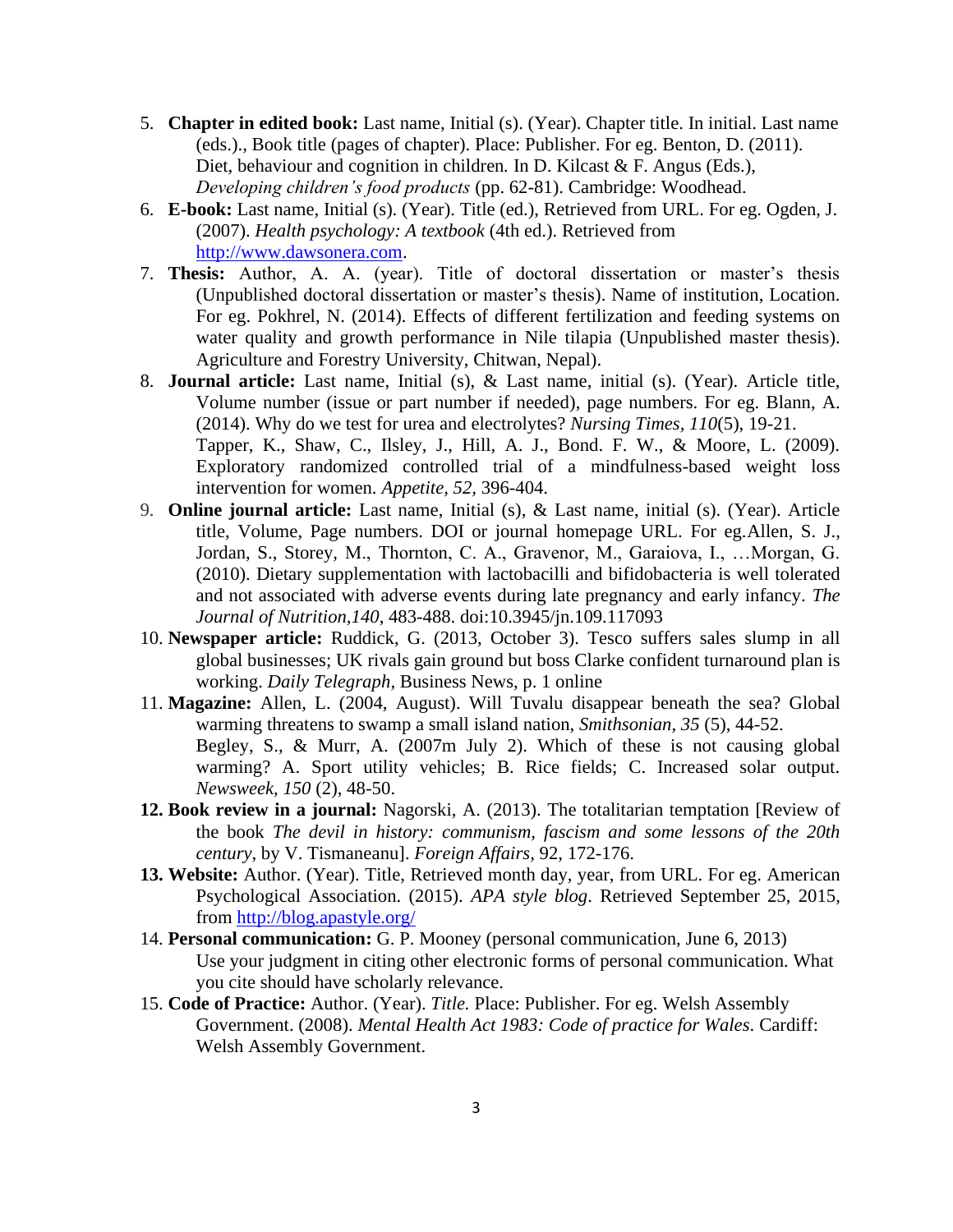- 5. **Chapter in edited book:** Last name, Initial (s). (Year). Chapter title. In initial. Last name (eds.)., Book title (pages of chapter). Place: Publisher. For eg. Benton, D. (2011). Diet, behaviour and cognition in children*.* In D. Kilcast & F. Angus (Eds.), *Developing children's food products* (pp. 62-81). Cambridge: Woodhead.
- 6. **E-book:** Last name, Initial (s). (Year). Title (ed.), Retrieved from URL. For eg. Ogden, J. (2007). *Health psychology: A textbook* (4th ed.). Retrieved from [http://www.dawsonera.com.](http://www.dawsonera.com/)
- 7. **Thesis:** Author, A. A. (year). Title of doctoral dissertation or master's thesis (Unpublished doctoral dissertation or master's thesis). Name of institution, Location. For eg. Pokhrel, N. (2014). Effects of different fertilization and feeding systems on water quality and growth performance in Nile tilapia (Unpublished master thesis). Agriculture and Forestry University, Chitwan, Nepal).
- 8. **Journal article:** Last name, Initial (s), & Last name, initial (s). (Year). Article title, Volume number (issue or part number if needed), page numbers. For eg. Blann, A. (2014). Why do we test for urea and electrolytes? *Nursing Times, 110*(5), 19-21. Tapper, K., Shaw, C., Ilsley, J., Hill, A. J., Bond. F. W., & Moore, L. (2009). Exploratory randomized controlled trial of a mindfulness-based weight loss intervention for women. *Appetite, 52,* 396-404.
- 9. **Online journal article:** Last name, Initial (s), & Last name, initial (s). (Year). Article title, Volume, Page numbers. DOI or journal homepage URL. For eg.Allen, S. J., Jordan, S., Storey, M., Thornton, C. A., Gravenor, M., Garaiova, I., …Morgan, G. (2010). Dietary supplementation with lactobacilli and bifidobacteria is well tolerated and not associated with adverse events during late pregnancy and early infancy. *The Journal of Nutrition,140*, 483-488. doi:10.3945/jn.109.117093
- 10. **Newspaper article:** Ruddick, G. (2013, October 3). Tesco suffers sales slump in all global businesses; UK rivals gain ground but boss Clarke confident turnaround plan is working. *Daily Telegraph*, Business News, p. 1 online
- 11. **Magazine:** Allen, L. (2004, August). Will Tuvalu disappear beneath the sea? Global warming threatens to swamp a small island nation, *Smithsonian, 35* (5), 44-52. Begley, S., & Murr, A. (2007m July 2). Which of these is not causing global warming? A. Sport utility vehicles; B. Rice fields; C. Increased solar output. *Newsweek, 150* (2), 48-50.
- **12. Book review in a journal:** Nagorski, A. (2013). The totalitarian temptation [Review of the book *The devil in history: communism, fascism and some lessons of the 20th century*, by V. Tismaneanu]. *Foreign Affairs*, 92, 172-176.
- **13. Website:** Author. (Year). Title, Retrieved month day, year, from URL. For eg. American Psychological Association. (2015). *APA style blog*. Retrieved September 25, 2015, from<http://blog.apastyle.org/>
- 14. **Personal communication:** G. P. Mooney (personal communication, June 6, 2013) Use your judgment in citing other electronic forms of personal communication. What you cite should have scholarly relevance.
- 15. **Code of Practice:** Author. (Year). *Title.* Place: Publisher. For eg. Welsh Assembly Government. (2008). *Mental Health Act 1983: Code of practice for Wales*. Cardiff: Welsh Assembly Government.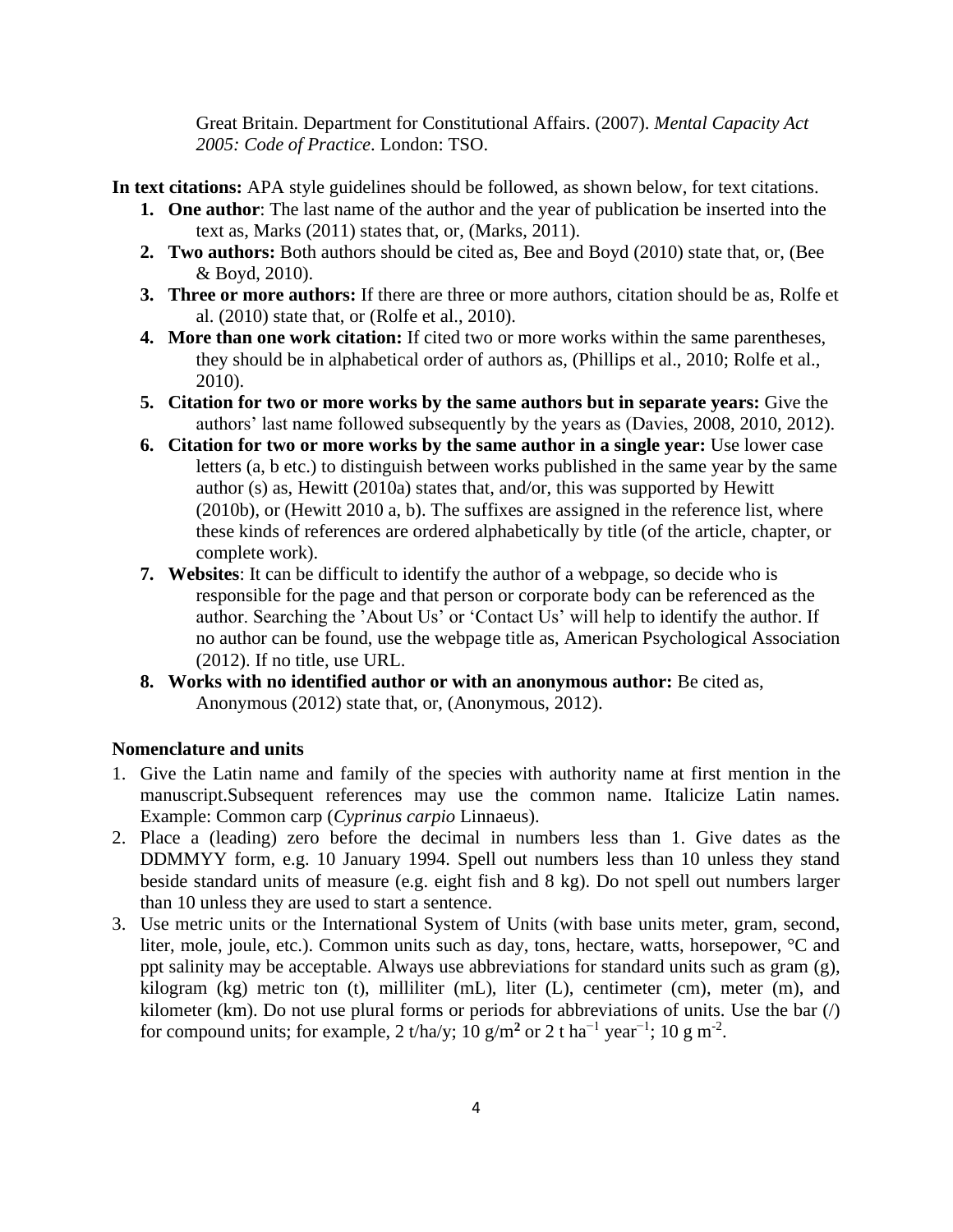Great Britain. Department for Constitutional Affairs. (2007). *Mental Capacity Act 2005: Code of Practice*. London: TSO.

- **In text citations:** APA style guidelines should be followed, as shown below, for text citations.
	- **1. One author**: The last name of the author and the year of publication be inserted into the text as, Marks (2011) states that, or, (Marks, 2011).
	- **2. Two authors:** Both authors should be cited as, Bee and Boyd (2010) state that, or, (Bee & Boyd, 2010).
	- **3. Three or more authors:** If there are three or more authors, citation should be as, Rolfe et al. (2010) state that, or (Rolfe et al., 2010).
	- **4. More than one work citation:** If cited two or more works within the same parentheses, they should be in alphabetical order of authors as, (Phillips et al., 2010; Rolfe et al., 2010).
	- **5. Citation for two or more works by the same authors but in separate years:** Give the authors' last name followed subsequently by the years as (Davies, 2008, 2010, 2012).
	- **6. Citation for two or more works by the same author in a single year:** Use lower case letters (a, b etc.) to distinguish between works published in the same year by the same author (s) as, Hewitt (2010a) states that, and/or, this was supported by Hewitt (2010b), or (Hewitt 2010 a, b). The suffixes are assigned in the reference list, where these kinds of references are ordered alphabetically by title (of the article, chapter, or complete work).
	- **7. Websites**: It can be difficult to identify the author of a webpage, so decide who is responsible for the page and that person or corporate body can be referenced as the author. Searching the 'About Us' or 'Contact Us' will help to identify the author. If no author can be found, use the webpage title as, American Psychological Association (2012). If no title, use URL.
	- **8. Works with no identified author or with an anonymous author:** Be cited as, Anonymous (2012) state that, or, (Anonymous, 2012).

#### **Nomenclature and units**

- 1. Give the Latin name and family of the species with authority name at first mention in the manuscript.Subsequent references may use the common name. Italicize Latin names. Example: Common carp (*Cyprinus carpio* Linnaeus).
- 2. Place a (leading) zero before the decimal in numbers less than 1. Give dates as the DDMMYY form, e.g. 10 January 1994. Spell out numbers less than 10 unless they stand beside standard units of measure (e.g. eight fish and 8 kg). Do not spell out numbers larger than 10 unless they are used to start a sentence.
- 3. Use metric units or the International System of Units (with base units meter, gram, second, liter, mole, joule, etc.). Common units such as day, tons, hectare, watts, horsepower, °C and ppt salinity may be acceptable. Always use abbreviations for standard units such as gram (g), kilogram (kg) metric ton (t), milliliter (mL), liter (L), centimeter (cm), meter (m), and kilometer (km). Do not use plural forms or periods for abbreviations of units. Use the bar  $\left\langle \right\rangle$ for compound units; for example, 2 t/ha/y; 10  $\frac{g}{m^2}$  or 2 t ha<sup>-1</sup> year<sup>-1</sup>; 10  $\frac{g}{m^2}$ .